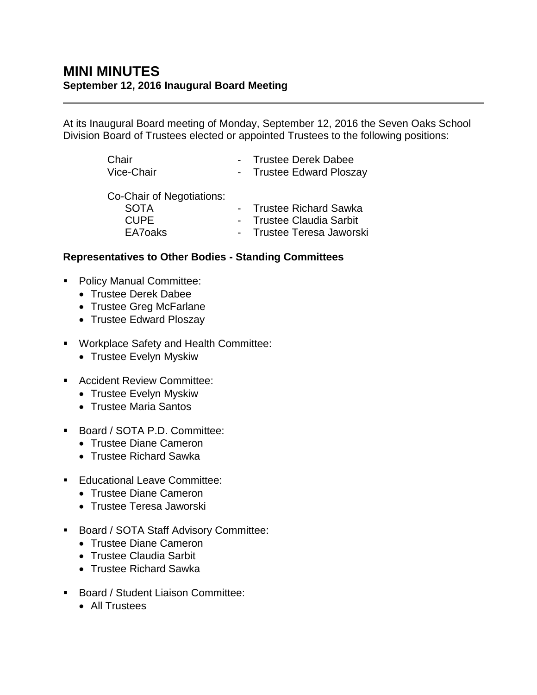## **MINI MINUTES September 12, 2016 Inaugural Board Meeting**

At its Inaugural Board meeting of Monday, September 12, 2016 the Seven Oaks School Division Board of Trustees elected or appointed Trustees to the following positions:

| Chair<br>Vice-Chair       | - Trustee Derek Dabee<br>- Trustee Edward Ploszay |
|---------------------------|---------------------------------------------------|
| Co-Chair of Negotiations: |                                                   |
| <b>SOTA</b>               | - Trustee Richard Sawka                           |
| CUPF.                     | - Trustee Claudia Sarbit                          |
| EA7 <sub>oaks</sub>       | - Trustee Teresa Jaworski                         |

## **Representatives to Other Bodies - Standing Committees**

- Policy Manual Committee:
	- Trustee Derek Dabee
	- Trustee Greg McFarlane
	- Trustee Edward Ploszay
- Workplace Safety and Health Committee:
	- Trustee Evelyn Myskiw
- Accident Review Committee:
	- Trustee Evelyn Myskiw
	- Trustee Maria Santos
- Board / SOTA P.D. Committee:
	- Trustee Diane Cameron
	- Trustee Richard Sawka
- **Educational Leave Committee:** 
	- Trustee Diane Cameron
	- Trustee Teresa Jaworski
- **Board / SOTA Staff Advisory Committee:** 
	- Trustee Diane Cameron
	- Trustee Claudia Sarbit
	- Trustee Richard Sawka
- Board / Student Liaison Committee:
	- All Trustees